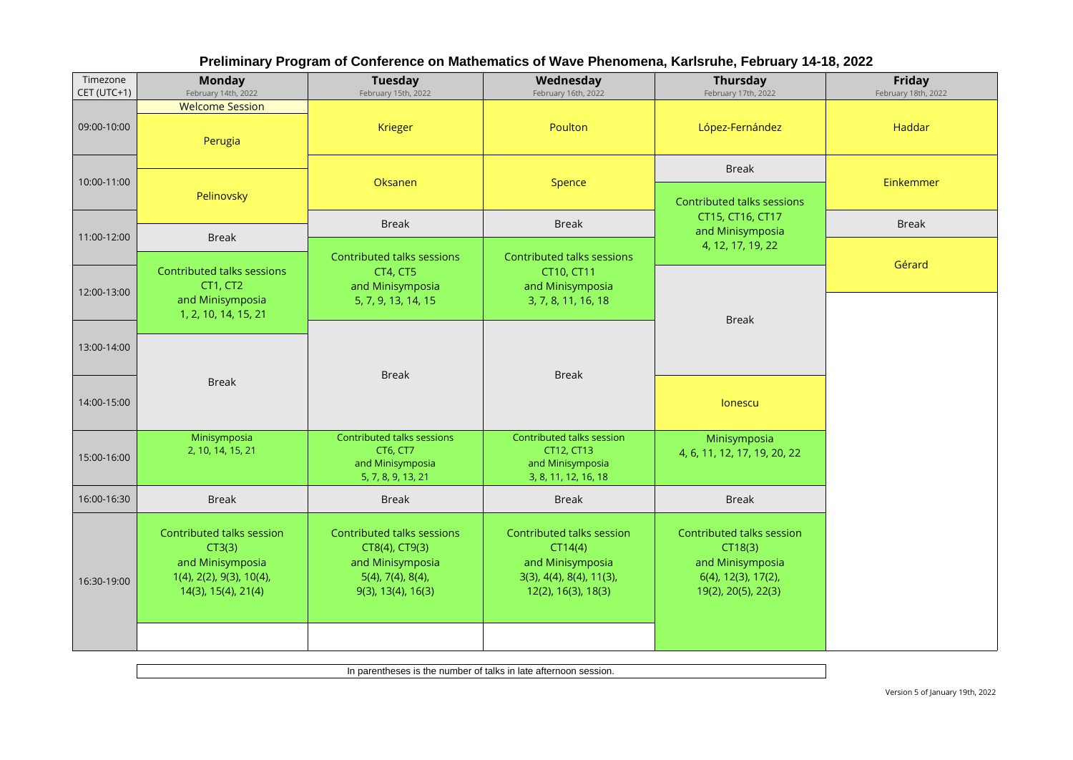| Timezone<br>CET (UTC+1) | <b>Monday</b><br>February 14th, 2022                                                                       | Tuesday<br>February 15th, 2022                                                                                    | Wednesday<br>February 16th, 2022                                                                            | Thursday<br>February 17th, 2022                                                                           | Friday<br>February 18th, 2022 |
|-------------------------|------------------------------------------------------------------------------------------------------------|-------------------------------------------------------------------------------------------------------------------|-------------------------------------------------------------------------------------------------------------|-----------------------------------------------------------------------------------------------------------|-------------------------------|
| 09:00-10:00             | <b>Welcome Session</b><br>Perugia                                                                          | Krieger                                                                                                           | Poulton                                                                                                     | López-Fernández                                                                                           | Haddar                        |
| 10:00-11:00             | Pelinovsky                                                                                                 | Oksanen                                                                                                           | Spence                                                                                                      | <b>Break</b><br>Contributed talks sessions                                                                | Einkemmer                     |
| 11:00-12:00             | <b>Break</b>                                                                                               | <b>Break</b>                                                                                                      | <b>Break</b>                                                                                                | CT15, CT16, CT17<br>and Minisymposia                                                                      | <b>Break</b>                  |
|                         | Contributed talks sessions                                                                                 | Contributed talks sessions<br>CT4, CT5                                                                            | Contributed talks sessions<br>CT10, CT11                                                                    | 4, 12, 17, 19, 22                                                                                         | Gérard                        |
| 12:00-13:00             | CT1, CT2<br>and Minisymposia<br>1, 2, 10, 14, 15, 21                                                       | and Minisymposia<br>5, 7, 9, 13, 14, 15                                                                           | and Minisymposia<br>3, 7, 8, 11, 16, 18                                                                     | <b>Break</b>                                                                                              |                               |
| 13:00-14:00             |                                                                                                            |                                                                                                                   |                                                                                                             |                                                                                                           |                               |
| 14:00-15:00             | <b>Break</b>                                                                                               | <b>Break</b>                                                                                                      | <b>Break</b>                                                                                                | lonescu                                                                                                   |                               |
| 15:00-16:00             | Minisymposia<br>2, 10, 14, 15, 21                                                                          | Contributed talks sessions<br>CT6, CT7<br>and Minisymposia<br>5, 7, 8, 9, 13, 21                                  | Contributed talks session<br>CT12, CT13<br>and Minisymposia<br>3, 8, 11, 12, 16, 18                         | Minisymposia<br>4, 6, 11, 12, 17, 19, 20, 22                                                              |                               |
| 16:00-16:30             | <b>Break</b>                                                                                               | <b>Break</b>                                                                                                      | <b>Break</b>                                                                                                | <b>Break</b>                                                                                              |                               |
| 16:30-19:00             | Contributed talks session<br>CT3(3)<br>and Minisymposia<br>1(4), 2(2), 9(3), 10(4),<br>14(3), 15(4), 21(4) | Contributed talks sessions<br>CT8(4), CT9(3)<br>and Minisymposia<br>$5(4)$ , 7(4), 8(4),<br>$9(3)$ , 13(4), 16(3) | Contributed talks session<br>CT14(4)<br>and Minisymposia<br>3(3), 4(4), 8(4), 11(3),<br>12(2), 16(3), 18(3) | Contributed talks session<br>CT18(3)<br>and Minisymposia<br>$6(4)$ , 12(3), 17(2),<br>19(2), 20(5), 22(3) |                               |

## **Preliminary Program of Conference on Mathematics of Wave Phenomena, Karlsruhe, February 14-18, 2022**

In parentheses is the number of talks in late afternoon session.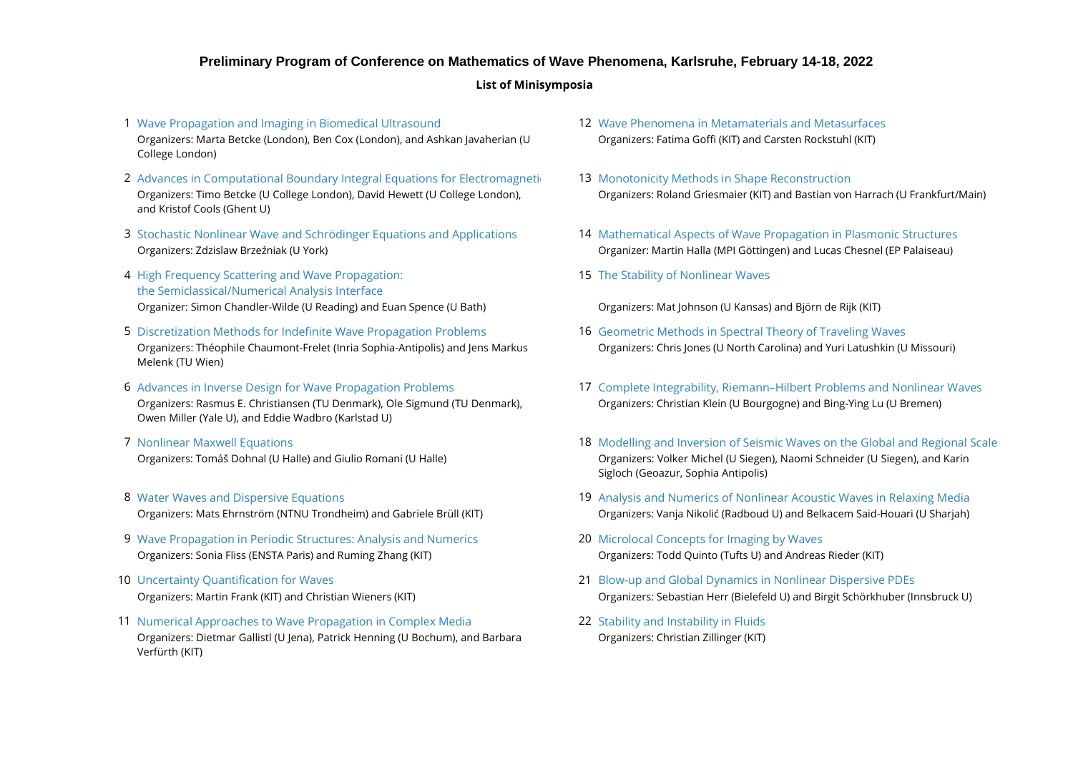#### **Preliminary Program of Conference on Mathematics of Wave Phenomena, Karlsruhe, February 14-18, 2022**

#### **List of Minisymposia**

- 1 [Wave Propagation and Imaging in Biomedical Ultrasound](https://conference22.waves.kit.edu/?page_id=126) National Machines Market Phenomena in Metamaterials and Metasurfaces (1989) and Metasurfaces (1989) and Metasurfaces (1989) and Metasurfaces (1989) and Metasurfaces ( Organizers: Marta Betcke (London), Ben Cox (London), and Ashkan Javaherian (U College London)
- 2 Advances in Computational Boundary Integral Equations for Electromagneti **[Monotonicity Methods in Shape Reconstruction](https://conference22.waves.kit.edu/?page_id=173)** Organizers: Timo Betcke (U College London), David Hewett (U College London), and Kristof Cools (Ghent U)
- 3 [Stochastic Nonlinear Wave and Schrödinger Equations and Applications](https://conference22.waves.kit.edu/?page_id=151) 14 [Mathematical Aspects of Wave Propagation in Plasmonic Structures](https://conference22.waves.kit.edu/?page_id=175) Organizers: Zdzislaw Brzeźniak (U York) Organizer: Martin Halla (MPI Göttingen) and Lucas Chesnel (EP Palaiseau)
- 4 15 [High Frequency Scattering and Wave Propagation:](https://conference22.waves.kit.edu/?page_id=155) Organizer: Simon Chandler-Wilde (U Reading) and Euan Spence (U Bath) Organizers: Mat Johnson (U Kansas) and Björn de Rijk (KIT) [the Semiclassical/Numerical Analysis Interface](https://conference22.waves.kit.edu/?page_id=155)
- 5 [Discretization Methods for Indefinite Wave Propagation Problems](https://conference22.waves.kit.edu/?page_id=157) 16 [Geometric Methods in Spectral Theory of Traveling Waves](https://conference22.waves.kit.edu/?page_id=179) Organizers: Théophile Chaumont-Frelet (Inria Sophia-Antipolis) and Jens Markus Melenk (TU Wien)
- 6 Advances in Inverse Design for Wave Propagation Problems Organizers: Rasmus E. Christiansen (TU Denmark), Ole Sigmund (TU Denmark), Owen Miller (Yale U), and Eddie Wadbro (Karlstad U)
- 7 Nonlinear Maxwell Equations Organizers: Tomáš Dohnal (U Halle) and Giulio Romani (U Halle)
- 8 Water Waves and Dispersive Equations
- 9 [Wave Propagation in Periodic Structures: Analysis and Numerics](https://conference22.waves.kit.edu/?page_id=165) **Microlocal Conceptation Concepts for Imaging by Waves** Organizers: Sonia Fliss (ENSTA Paris) and Ruming Zhang (KIT) Organizers: Todd Quinto (Tufts U) and Andreas Rieder (KIT)
- 10 Uncertainty Ouantification for Wayes
- 11 22 [Numerical Approaches to Wave Propagation in Complex Media](https://conference22.waves.kit.edu/?page_id=169) [Stability and Instability in Fluids](https://conference22.waves.kit.edu/?page_id=191) Organizers: Dietmar Gallistl (U Jena), Patrick Henning (U Bochum), and Barbara Verfürth (KIT)
- Organizers: Fatima Goffi (KIT) and Carsten Rockstuhl (KIT)
- Organizers: Roland Griesmaier (KIT) and Bastian von Harrach (U Frankfurt/Main)
- 
- 15 [The Stability of Nonlinear Waves](https://conference22.waves.kit.edu/?page_id=177)

- Organizers: Chris Jones (U North Carolina) and Yuri Latushkin (U Missouri)
- Organizers: Christian Klein (U Bourgogne) and Bing-Ying Lu (U Bremen) 17 [Complete Integrability, Riemann–Hilbert Problems and Nonlinear Waves](https://conference22.waves.kit.edu/?page_id=181)
- 18 [Modelling and Inversion of Seismic Waves on the Global and Regional Scale](https://conference22.waves.kit.edu/?page_id=183) Organizers: Volker Michel (U Siegen), Naomi Schneider (U Siegen), and Karin Sigloch (Geoazur, Sophia Antipolis)
- Organizers: Mats Ehrnström (NTNU Trondheim) and Gabriele Brüll (KIT) Organizers: Vanja Nikolić (Radboud U) and Belkacem Said-Houari (U Sharjah) 19 [Analysis and Numerics of Nonlinear Acoustic Waves in Relaxing Media](https://conference22.waves.kit.edu/?page_id=185)
	-
- Organizers: Martin Frank (KIT) and Christian Wieners (KIT) Organizers: Sebastian Herr (Bielefeld U) and Birgit Schörkhuber (Innsbruck U) 21 [Blow-up and Global Dynamics in Nonlinear Dispersive PDEs](https://conference22.waves.kit.edu/?page_id=189)
	- Organizers: Christian Zillinger (KIT)